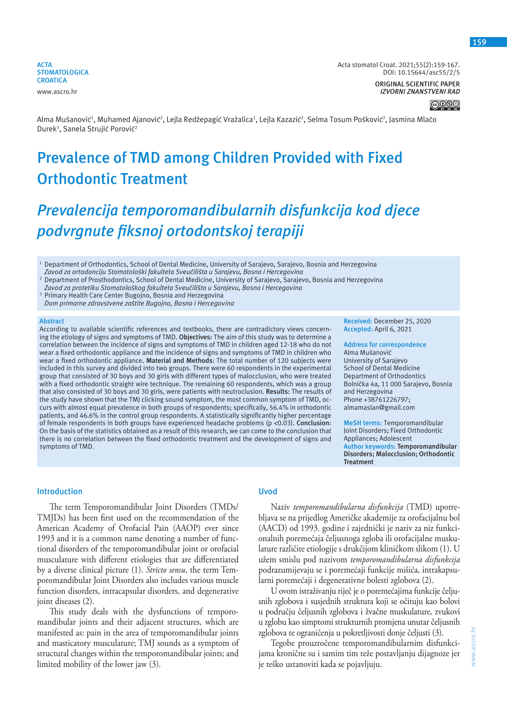

Acta stomatol Croat. 2021;55(2):159-167. DOI: 10.15644/asc55/2/5

> **ORIGINAL SCIENTIFIC PAPER** *IZVORNI ZNANSTVENI RAD*

> > ∣⊚⊕⊛⊜

Alma Mušanović<sup>1</sup>, Muhamed Ajanović<sup>2</sup>, Lejla Redžepagić Vražalica<sup>1</sup>, Lejla Kazazić<sup>2</sup>, Selma Tosum Pošković<sup>2</sup>, Jasmina Mlačo Durek<sup>3</sup>, Sanela Strujić Porović<sup>2</sup>

# **Prevalence of TMD among Children Provided with Fixed Orthodontic Treatment**

# *Prevalencija temporomandibularnih disfunkcija kod djece podvrgnute fiksnoj ortodontskoj terapiji*

- 2 Department of Prosthodontics, School of Dental Medicine, University of Sarajevo, Sarajevo, Bosnia and Herzegovina *Zavod za protetiku Stomatološkog fakulteta Sveučilišta u Sarajevu, Bosna i Hercegovina*
- 3 Primary Health Care Center Bugojno, Bosnia and Herzegovina *Dom primarne zdravstvene zaštite Bugojno, Bosna i Hercegovina*

#### **Abstract**

According to available scientific references and textbooks, there are contradictory views concerning the etiology of signs and symptoms of TMD. **Objectives:** The aim of this study was to determine a correlation between the incidence of signs and symptoms of TMD in children aged 12-18 who do not wear a fixed orthodontic appliance and the incidence of signs and symptoms of TMD in children who wear a fixed orthodontic appliance**. Material and Methods**: The total number of 120 subjects were included in this survey and divided into two groups. There were 60 respondents in the experimental group that consisted of 30 boys and 30 girls with different types of malocclusion, who were treated with a fixed orthodontic straight wire technique. The remaining 60 respondents, which was a group that also consisted of 30 boys and 30 girls, were patients with neutroclusion. **Results:** The results of the study have shown that the TMJ clicking sound symptom, the most common symptom of TMD, occurs with almost equal prevalence in both groups of respondents; specifically, 56.4% in orthodontic patients, and 46.6% in the control group respondents. A statistically significantly higher percentage of female respondents in both groups have experienced headache problems (p <0.03). **Conclusion**: On the basis of the statistics obtained as a result of this research, we can come to the conclusion that there is no correlation between the fixed orthodontic treatment and the development of signs and symptoms of TMD.

**Received:** December 25, 2020 **Accepted:** April 6, 2021

**Address for correspondence** Alma Mušanović University of Sarajevo School of Dental Medicine Department of Orthodontics Bolnička 4a, 11 000 Sarajevo, Bosnia and Herzegovina Phone +38761226797; almamaslan@gmail.com

**MeSH terms:** Temporomandibular Joint Disorders; Fixed Orthodontic Appliances; Adolescent **Author keywords: Temporomandibular Disorders; Malocclusion; Orthodontic Treatment**

## **Introduction**

The term Temporomandibular Joint Disorders (TMDs/ TMJDs) has been first used on the recommendation of the American Academy of Orofacial Pain (AAOP) ever since 1993 and it is a common name denoting a number of functional disorders of the temporomandibular joint or orofacial musculature with different etiologies that are differentiated by a diverse clinical picture (1). *Stricto sensu*, the term Temporomandibular Joint Disorders also includes various muscle function disorders, intracapsular disorders, and degenerative joint diseases (2).

This study deals with the dysfunctions of temporomandibular joints and their adjacent structures, which are manifested as: pain in the area of temporomandibular joints and masticatory musculature; TMJ sounds as a symptom of structural changes within the temporomandibular joints; and limited mobility of the lower jaw (3).

# **Uvod**

Naziv *temporomandibularna disfunkcija* (TMD) upotrebljava se na prijedlog Američke akademije za orofacijalnu bol (AACD) od 1993. godine i zajednički je naziv za niz funkcionalnih poremećaja čeljusnoga zgloba ili orofacijalne muskulature različite etiologije s drukčijom kliničkom slikom (1). U užem smislu pod nazivom *temporomandibularna disfunkcija* podrazumijevaju se i poremećaji funkcije mišića, intrakapsularni poremećaji i degenerativne bolesti zglobova (2).

U ovom istraživanju riječ je o poremećajima funkcije čeljusnih zglobova i susjednih struktura koji se očituju kao bolovi u području čeljusnih zglobova i žvačne muskulature, zvukovi u zglobu kao simptomi strukturnih promjena unutar čeljusnih zglobova te ograničenja u pokretljivosti donje čeljusti (3).

Tegobe prouzročene temporomandibularnim disfunkcijama kronične su i samim tim teže postavljanju dijagnoze jer je teško ustanoviti kada se pojavljuju.

**159**

<sup>&</sup>lt;sup>1</sup> Department of Orthodontics, School of Dental Medicine, University of Sarajevo, Sarajevo, Bosnia and Herzegovina *Zavod za ortodonciju Stomatološki fakulteta Sveučilišta u Sarajevu, Bosna i Hercegovina*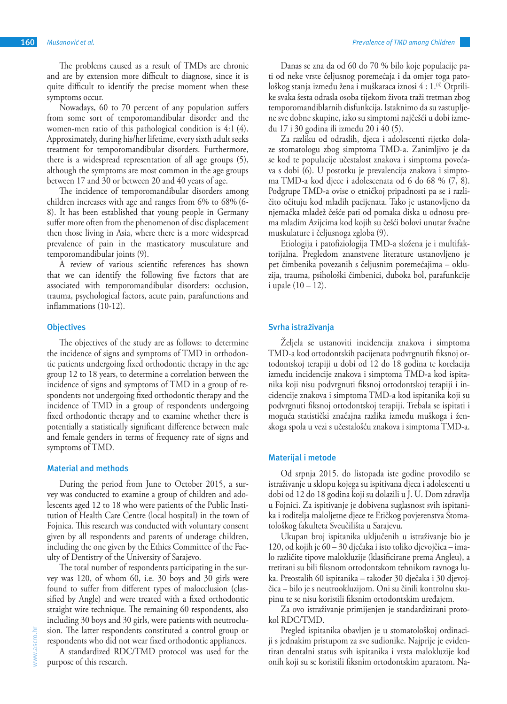The problems caused as a result of TMDs are chronic and are by extension more difficult to diagnose, since it is quite difficult to identify the precise moment when these symptoms occur.

Nowadays, 60 to 70 percent of any population suffers from some sort of temporomandibular disorder and the women-men ratio of this pathological condition is 4:1 (4). Approximately, during his/her lifetime, every sixth adult seeks treatment for temporomandibular disorders. Furthermore, there is a widespread representation of all age groups (5), although the symptoms are most common in the age groups between 17 and 30 or between 20 and 40 years of age.

The incidence of temporomandibular disorders among children increases with age and ranges from 6% to 68% (6- 8). It has been established that young people in Germany suffer more often from the phenomenon of disc displacement then those living in Asia, where there is a more widespread prevalence of pain in the masticatory musculature and temporomandibular joints (9).

A review of various scientific references has shown that we can identify the following five factors that are associated with temporomandibular disorders: occlusion, trauma, psychological factors, acute pain, parafunctions and inflammations (10-12).

# **Objectives**

The objectives of the study are as follows: to determine the incidence of signs and symptoms of TMD in orthodontic patients undergoing fixed orthodontic therapy in the age group 12 to 18 years, to determine a correlation between the incidence of signs and symptoms of TMD in a group of respondents not undergoing fixed orthodontic therapy and the incidence of TMD in a group of respondents undergoing fixed orthodontic therapy and to examine whether there is potentially a statistically significant difference between male and female genders in terms of frequency rate of signs and symptoms of TMD.

### **Material and methods**

During the period from June to October 2015, a survey was conducted to examine a group of children and adolescents aged 12 to 18 who were patients of the Public Institution of Health Care Centre (local hospital) in the town of Fojnica. This research was conducted with voluntary consent given by all respondents and parents of underage children, including the one given by the Ethics Committee of the Faculty of Dentistry of the University of Sarajevo.

The total number of respondents participating in the survey was 120, of whom 60, i.e. 30 boys and 30 girls were found to suffer from different types of malocclusion (classified by Angle) and were treated with a fixed orthodontic straight wire technique. The remaining 60 respondents, also including 30 boys and 30 girls, were patients with neutroclusion. The latter respondents constituted a control group or respondents who did not wear fixed orthodontic appliances.

A standardized RDC/TMD protocol was used for the purpose of this research.

Danas se zna da od 60 do 70 % bilo koje populacije pati od neke vrste čeljusnog poremećaja i da omjer toga patološkog stanja između žena i muškaraca iznosi 4 : 1.(4) Otprilike svaka šesta odrasla osoba tijekom života traži tretman zbog temporomandiblarnih disfunkcija. Istaknimo da su zastupljene sve dobne skupine, iako su simptomi najčešći u dobi između 17 i 30 godina ili između 20 i 40 (5).

Za razliku od odraslih, djeca i adolescenti rijetko dolaze stomatologu zbog simptoma TMD-a. Zanimljivo je da se kod te populacije učestalost znakova i simptoma povećava s dobi (6). U postotku je prevalencija znakova i simptoma TMD-a kod djece i adolescenata od 6 do 68 % (7, 8). Podgrupe TMD-a ovise o etničkoj pripadnosti pa se i različito očituju kod mladih pacijenata. Tako je ustanovljeno da njemačka mladež češće pati od pomaka diska u odnosu prema mladim Azijcima kod kojih su češći bolovi unutar žvačne muskulature i čeljusnoga zgloba (9).

Etiologija i patofiziologija TMD-a složena je i multifaktorijalna. Pregledom znanstvene literature ustanovljeno je pet čimbenika povezanih s čeljusnim poremećajima – okluzija, trauma, psihološki čimbenici, duboka bol, parafunkcije i upale  $(10 - 12)$ .

## **Svrha istraživanja**

Željela se ustanoviti incidencija znakova i simptoma TMD-a kod ortodontskih pacijenata podvrgnutih fiksnoj ortodontskoj terapiji u dobi od 12 do 18 godina te korelacija između incidencije znakova i simptoma TMD-a kod ispitanika koji nisu podvrgnuti fiksnoj ortodontskoj terapiji i incidencije znakova i simptoma TMD-a kod ispitanika koji su podvrgnuti fiksnoj ortodontskoj terapiji. Trebala se ispitati i moguća statistički značajna razlika između muškoga i ženskoga spola u vezi s učestalošću znakova i simptoma TMD-a.

## **Materijal i metode**

Od srpnja 2015. do listopada iste godine provodilo se istraživanje u sklopu kojega su ispitivana djeca i adolescenti u dobi od 12 do 18 godina koji su dolazili u J. U. Dom zdravlja u Fojnici. Za ispitivanje je dobivena suglasnost svih ispitanika i roditelja maloljetne djece te Etičkog povjerenstva Stomatološkog fakulteta Sveučilišta u Sarajevu.

Ukupan broj ispitanika uključenih u istraživanje bio je 120, od kojih je 60 – 30 dječaka i isto toliko djevojčica – imalo različite tipove malokluzije (klasificirane prema Angleu), a tretirani su bili fiksnom ortodontskom tehnikom ravnoga luka. Preostalih 60 ispitanika – također 30 dječaka i 30 djevojčica – bilo je s neutrookluzijom. Oni su činili kontrolnu skupinu te se nisu koristili fiksnim ortodontskim uređajem.

Za ovo istraživanje primijenjen je standardizirani protokol RDC/TMD.

Pregled ispitanika obavljen je u stomatološkoj ordinaciji s jednakim pristupom za sve sudionike. Najprije je evidentiran dentalni status svih ispitanika i vrsta malokluzije kod onih koji su se koristili fiksnim ortodontskim aparatom. Na-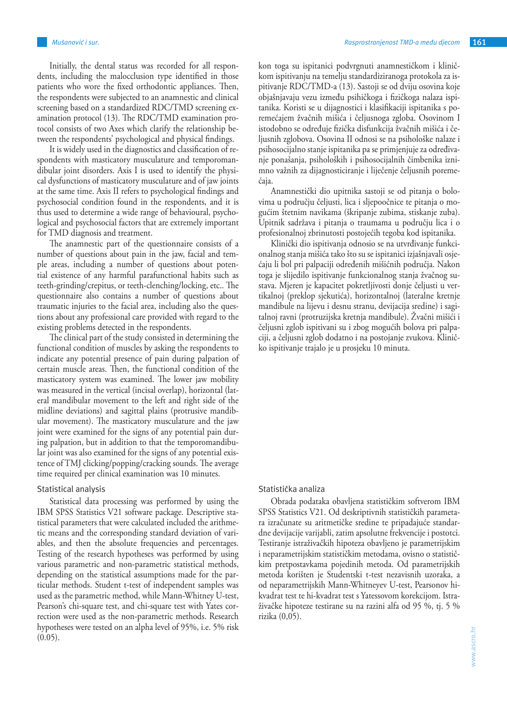Initially, the dental status was recorded for all respondents, including the malocclusion type identified in those patients who wore the fixed orthodontic appliances. Then, the respondents were subjected to an anamnestic and clinical screening based on a standardized RDC/TMD screening examination protocol (13). The RDC/TMD examination protocol consists of two Axes which clarify the relationship between the respondents' psychological and physical findings.

It is widely used in the diagnostics and classification of respondents with masticatory musculature and temporomandibular joint disorders. Axis I is used to identify the physical dysfunctions of masticatory musculature and of jaw joints at the same time. Axis II refers to psychological findings and psychosocial condition found in the respondents, and it is thus used to determine a wide range of behavioural, psychological and psychosocial factors that are extremely important for TMD diagnosis and treatment.

The anamnestic part of the questionnaire consists of a number of questions about pain in the jaw, facial and temple areas, including a number of questions about potential existence of any harmful parafunctional habits such as teeth-grinding/crepitus, or teeth-clenching/locking, etc.. The questionnaire also contains a number of questions about traumatic injuries to the facial area, including also the questions about any professional care provided with regard to the existing problems detected in the respondents.

The clinical part of the study consisted in determining the functional condition of muscles by asking the respondents to indicate any potential presence of pain during palpation of certain muscle areas. Then, the functional condition of the masticatory system was examined. The lower jaw mobility was measured in the vertical (incisal overlap), horizontal (lateral mandibular movement to the left and right side of the midline deviations) and sagittal plains (protrusive mandibular movement). The masticatory musculature and the jaw joint were examined for the signs of any potential pain during palpation, but in addition to that the temporomandibular joint was also examined for the signs of any potential existence of TMJ clicking/popping/cracking sounds. The average time required per clinical examination was 10 minutes.

## Statistical analysis

Statistical data processing was performed by using the IBM SPSS Statistics V21 software package. Descriptive statistical parameters that were calculated included the arithmetic means and the corresponding standard deviation of variables, and then the absolute frequencies and percentages. Testing of the research hypotheses was performed by using various parametric and non-parametric statistical methods, depending on the statistical assumptions made for the particular methods. Student t-test of independent samples was used as the parametric method, while Mann-Whitney U-test, Pearson's chi-square test, and chi-square test with Yates correction were used as the non-parametric methods. Research hypotheses were tested on an alpha level of 95%, i.e. 5% risk  $(0.05)$ .

kon toga su ispitanici podvrgnuti anamnestičkom i kliničkom ispitivanju na temelju standardiziranoga protokola za ispitivanje RDC/TMD-a (13). Sastoji se od dviju osovina koje objašnjavaju vezu između psihičkoga i fizičkoga nalaza ispitanika. Koristi se u dijagnostici i klasifikaciji ispitanika s poremećajem žvačnih mišića i čeljusnoga zgloba. Osovinom I istodobno se određuje fizička disfunkcija žvačnih mišića i čeljusnih zglobova. Osovina II odnosi se na psihološke nalaze i psihosocijalno stanje ispitanika pa se primjenjuje za određivanje ponašanja, psiholoških i psihosocijalnih čimbenika iznimno važnih za dijagnosticiranje i liječenje čeljusnih poremećaja.

Anamnestički dio upitnika sastoji se od pitanja o bolovima u području čeljusti, lica i sljepoočnice te pitanja o mogućim štetnim navikama (škripanje zubima, stiskanje zuba). Upitnik sadržava i pitanja o traumama u području lica i o profesionalnoj zbrinutosti postojećih tegoba kod ispitanika.

Klinički dio ispitivanja odnosio se na utvrđivanje funkcionalnog stanja mišića tako što su se ispitanici izjašnjavali osjećaju li bol pri palpaciji određenih mišićnih područja. Nakon toga je slijedilo ispitivanje funkcionalnog stanja žvačnog sustava. Mjeren je kapacitet pokretljivosti donje čeljusti u vertikalnoj (preklop sjekutića), horizontalnoj (lateralne kretnje mandibule na lijevu i desnu stranu, devijacija sredine) i sagitalnoj ravni (protruzijska kretnja mandibule). Žvačni mišići i čeljusni zglob ispitivani su i zbog mogućih bolova pri palpaciji, a čeljusni zglob dodatno i na postojanje zvukova. Kliničko ispitivanje trajalo je u prosjeku 10 minuta.

# Statistička analiza

Obrada podataka obavljena statističkim softverom IBM SPSS Statistics V21. Od deskriptivnih statističkih parametara izračunate su aritmetičke sredine te pripadajuće standardne devijacije varijabli, zatim apsolutne frekvencije i postotci. Testiranje istraživačkih hipoteza obavljeno je parametrijskim i neparametrijskim statističkim metodama, ovisno o statističkim pretpostavkama pojedinih metoda. Od parametrijskih metoda korišten je Studentski t-test nezavisnih uzoraka, a od neparametrijskih Mann-Whitneyev U-test, Pearsonov hikvadrat test te hi-kvadrat test s Yatessovom korekcijom. Istraživačke hipoteze testirane su na razini alfa od 95 %, tj. 5 % rizika (0,05).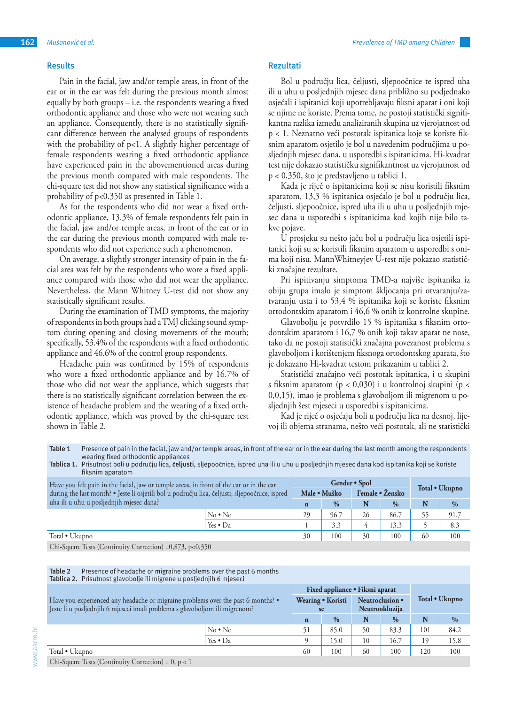# **Results**

Pain in the facial, jaw and/or temple areas, in front of the ear or in the ear was felt during the previous month almost equally by both groups – i.e. the respondents wearing a fixed orthodontic appliance and those who were not wearing such an appliance. Consequently, there is no statistically significant difference between the analysed groups of respondents with the probability of p<1. A slightly higher percentage of female respondents wearing a fixed orthodontic appliance have experienced pain in the abovementioned areas during the previous month compared with male respondents. The chi-square test did not show any statistical significance with a probability of p<0.350 as presented in Table 1.

As for the respondents who did not wear a fixed orthodontic appliance, 13.3% of female respondents felt pain in the facial, jaw and/or temple areas, in front of the ear or in the ear during the previous month compared with male respondents who did not experience such a phenomenon.

On average, a slightly stronger intensity of pain in the facial area was felt by the respondents who wore a fixed appliance compared with those who did not wear the appliance. Nevertheless, the Mann Whitney U-test did not show any statistically significant results.

During the examination of TMD symptoms, the majority of respondents in both groups had a TMJ clicking sound symptom during opening and closing movements of the mouth; specifically, 53.4% of the respondents with a fixed orthodontic appliance and 46.6% of the control group respondents.

Headache pain was confirmed by 15% of respondents who wore a fixed orthodontic appliance and by 16.7% of those who did not wear the appliance, which suggests that there is no statistically significant correlation between the existence of headache problem and the wearing of a fixed orthodontic appliance, which was proved by the chi-square test shown in Table 2.

# **Rezultati**

Bol u području lica, čeljusti, sljepoočnice te ispred uha ili u uhu u posljednjih mjesec dana približno su podjednako osjećali i ispitanici koji upotrebljavaju fiksni aparat i oni koji se njime ne koriste. Prema tome, ne postoji statistički signifikantna razlika između analiziranih skupina uz vjerojatnost od p < 1. Neznatno veći postotak ispitanica koje se koriste fiksnim aparatom osjetilo je bol u navedenim područjima u posljednjih mjesec dana, u usporedbi s ispitanicima. Hi-kvadrat test nije dokazao statističku signifikantnost uz vjerojatnost od p < 0,350, što je predstavljeno u tablici 1.

Kada je riječ o ispitanicima koji se nisu koristili fiksnim aparatom, 13,3 % ispitanica osjećalo je bol u području lica, čeljusti, sljepoočnice, ispred uha ili u uhu u posljednjih mjesec dana u usporedbi s ispitanicima kod kojih nije bilo takve pojave.

U prosjeku su nešto jaču bol u području lica osjetili ispitanici koji su se koristili fiksnim aparatom u usporedbi s onima koji nisu. MannWhitneyjev U-test nije pokazao statistički značajne rezultate.

Pri ispitivanju simptoma TMD-a najviše ispitanika iz obiju grupa imalo je simptom škljocanja pri otvaranju/zatvaranju usta i to 53,4 % ispitanika koji se koriste fiksnim ortodontskim aparatom i 46,6 % onih iz kontrolne skupine.

Glavobolju je potvrdilo 15 % ispitanika s fiksnim ortodontskim aparatom i 16,7 % onih koji takav aparat ne nose, tako da ne postoji statistički značajna povezanost problema s glavoboljom i korištenjem fiksnoga ortodontskog aparata, što je dokazano Hi-kvadrat testom prikazanim u tablici 2.

Statistički značajno veći postotak ispitanica, i u skupini s fiksnim aparatom (p < 0,030) i u kontrolnoj skupini (p < 0,0,15), imao je problema s glavoboljom ili migrenom u posljednjih šest mjeseci u usporedbi s ispitanicima.

Kad je riječ o osjećaju boli u području lica na desnoj, lijevoj ili objema stranama, nešto veći postotak, ali ne statistički

Table 1 Presence of pain in the facial, jaw and/or temple areas, in front of the ear or in the ear during the last month among the respondents wearing fixed orthodontic appliances

**Tablica 1.** Prisutnost boli u području lica, **čeljusti**, sljepoočnice, ispred uha ili u uhu u posljednjih mjesec dana kod ispitanika koji se koriste fiksnim aparatom

| Have you felt pain in the facial, jaw or temple areas, in front of the ear or in the ear<br>during the last month? • Jeste li osjetili bol u području lica, čeljusti, sljepoočnice, ispred<br>uha ili u uhu u posljednjih mjesec dana? |                  | Gender • Spol |      |                 |      | Total • Ukupno |               |
|----------------------------------------------------------------------------------------------------------------------------------------------------------------------------------------------------------------------------------------|------------------|---------------|------|-----------------|------|----------------|---------------|
|                                                                                                                                                                                                                                        |                  | Male · Muško  |      | Female • Žensko |      |                |               |
|                                                                                                                                                                                                                                        |                  | $\mathbf n$   | $\%$ | N               | $\%$ |                | $\frac{0}{0}$ |
|                                                                                                                                                                                                                                        | $No \cdot Ne$    | 29            | 96.7 | 26              | 86.7 |                | 91.7          |
|                                                                                                                                                                                                                                        | Yes $\bullet$ Da |               | 3.3  | 4               | 13.3 |                | 8.3           |
| Total • Ukupno                                                                                                                                                                                                                         |                  | 30            | 100  | 30              | 100  | 60             | 100           |
|                                                                                                                                                                                                                                        |                  |               |      |                 |      |                |               |

Chi-Square Tests (Continuity Correction) =0,873, p<0,350

| Table 2<br>Presence of headache or migraine problems over the past 6 months<br>Tablica 2. Prisutnost glavobolje ili migrene u posljednjih 6 mjeseci             |                  |                         |                                 |                                   |               |                |               |
|-----------------------------------------------------------------------------------------------------------------------------------------------------------------|------------------|-------------------------|---------------------------------|-----------------------------------|---------------|----------------|---------------|
|                                                                                                                                                                 |                  |                         | Fixed appliance • Fiksni aparat |                                   |               |                |               |
| Have you experienced any headache or migraine problems over the past 6 months? •<br>Jeste li u posljednjih 6 mjeseci imali problema s glavoboljom ili migrenom? |                  | Wearing • Koristi<br>se |                                 | Neutroclusion •<br>Neutrookluzija |               | Total • Ukupno |               |
|                                                                                                                                                                 |                  | $\mathbf n$             | $\frac{0}{0}$                   | N                                 | $\frac{0}{0}$ | N              | $\frac{0}{0}$ |
|                                                                                                                                                                 | $No \cdot Ne$    | 51                      | 85.0                            | 50                                | 83.3          | 101            | 84.2          |
|                                                                                                                                                                 | Yes $\bullet$ Da |                         | 15.0                            | 10                                | 16.7          | 19             | 15.8          |
| Total • Ukupno                                                                                                                                                  |                  | 60                      | 100                             | 60                                | 100           | 120            | 100           |

Chi-Square Tests (Continuity Correction) = 0, p < 1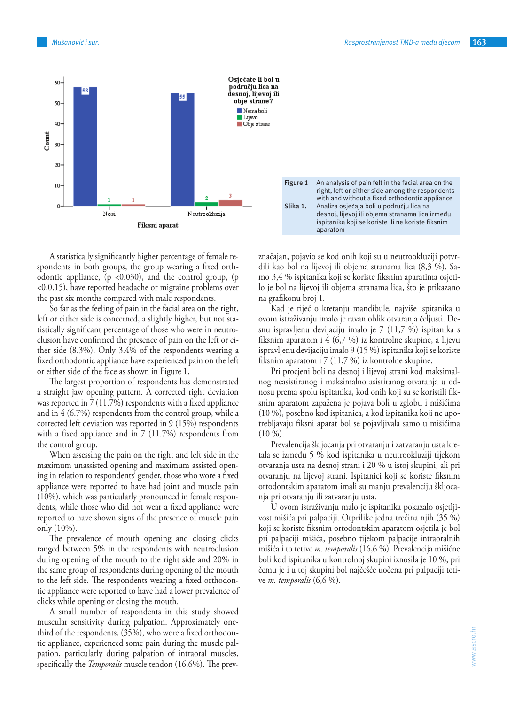

A statistically significantly higher percentage of female respondents in both groups, the group wearing a fixed orthodontic appliance,  $(p \lt 0.030)$ , and the control group,  $(p \lt 0.030)$ <0.0.15), have reported headache or migraine problems over the past six months compared with male respondents.

So far as the feeling of pain in the facial area on the right, left or either side is concerned, a slightly higher, but not statistically significant percentage of those who were in neutroclusion have confirmed the presence of pain on the left or either side (8.3%). Only 3.4% of the respondents wearing a fixed orthodontic appliance have experienced pain on the left or either side of the face as shown in Figure 1.

The largest proportion of respondents has demonstrated a straight jaw opening pattern. A corrected right deviation was reported in 7 (11.7%) respondents with a fixed appliance and in 4 (6.7%) respondents from the control group, while a corrected left deviation was reported in 9 (15%) respondents with a fixed appliance and in 7 (11.7%) respondents from the control group.

When assessing the pain on the right and left side in the maximum unassisted opening and maximum assisted opening in relation to respondents' gender, those who wore a fixed appliance were reported to have had joint and muscle pain (10%), which was particularly pronounced in female respondents, while those who did not wear a fixed appliance were reported to have shown signs of the presence of muscle pain only (10%).

The prevalence of mouth opening and closing clicks ranged between 5% in the respondents with neutroclusion during opening of the mouth to the right side and 20% in the same group of respondents during opening of the mouth to the left side. The respondents wearing a fixed orthodontic appliance were reported to have had a lower prevalence of clicks while opening or closing the mouth.

A small number of respondents in this study showed muscular sensitivity during palpation. Approximately onethird of the respondents, (35%), who wore a fixed orthodontic appliance, experienced some pain during the muscle palpation, particularly during palpation of intraoral muscles, specifically the *Temporalis* muscle tendon (16.6%). The prevznačajan, pojavio se kod onih koji su u neutrookluziji potvrdili kao bol na lijevoj ili objema stranama lica (8,3 %). Samo 3,4 % ispitanika koji se koriste fiksnim aparatima osjetilo je bol na lijevoj ili objema stranama lica, što je prikazano na grafikonu broj 1.

Kad je riječ o kretanju mandibule, najviše ispitanika u ovom istraživanju imalo je ravan oblik otvaranja čeljusti. Desnu ispravljenu devijaciju imalo je 7 (11,7 %) ispitanika s fiksnim aparatom i 4 (6,7 %) iz kontrolne skupine, a lijevu ispravljenu devijaciju imalo 9 (15 %) ispitanika koji se koriste fiksnim aparatom i 7 (11,7 %) iz kontrolne skupine.

Pri procjeni boli na desnoj i lijevoj strani kod maksimalnog neasistiranog i maksimalno asistiranog otvaranja u odnosu prema spolu ispitanika, kod onih koji su se koristili fiksnim aparatom zapažena je pojava boli u zglobu i mišićima (10 %), posebno kod ispitanica, a kod ispitanika koji ne upotrebljavaju fiksni aparat bol se pojavljivala samo u mišićima  $(10 \%)$ .

Prevalencija škljocanja pri otvaranju i zatvaranju usta kretala se između 5 % kod ispitanika u neutrookluziji tijekom otvaranja usta na desnoj strani i 20 % u istoj skupini, ali pri otvaranju na lijevoj strani. Ispitanici koji se koriste fiksnim ortodontskim aparatom imali su manju prevalenciju škljocanja pri otvaranju ili zatvaranju usta.

U ovom istraživanju malo je ispitanika pokazalo osjetljivost mišića pri palpaciji. Otprilike jedna trećina njih (35 %) koji se koriste fiksnim ortodontskim aparatom osjetila je bol pri palpaciji mišića, posebno tijekom palpacije intraoralnih mišića i to tetive *m. temporalis* (16,6 %). Prevalencija mišićne boli kod ispitanika u kontrolnoj skupini iznosila je 10 %, pri čemu je i u toj skupini bol najčešće uočena pri palpaciji tetive *m. temporalis* (6,6 %).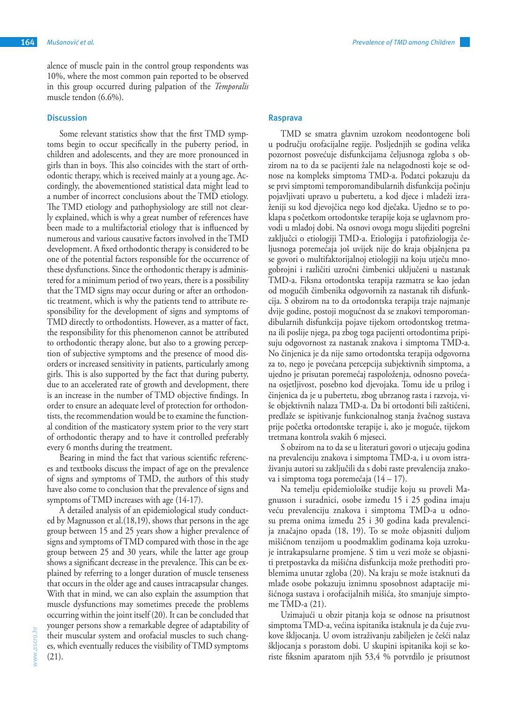alence of muscle pain in the control group respondents was 10%, where the most common pain reported to be observed in this group occurred during palpation of the *Temporalis* muscle tendon (6.6%).

## **Discussion**

Some relevant statistics show that the first TMD symptoms begin to occur specifically in the puberty period, in children and adolescents, and they are more pronounced in girls than in boys. This also coincides with the start of orthodontic therapy, which is received mainly at a young age. Accordingly, the abovementioned statistical data might lead to a number of incorrect conclusions about the TMD etiology. The TMD etiology and pathophysiology are still not clearly explained, which is why a great number of references have been made to a multifactorial etiology that is influenced by numerous and various causative factors involved in the TMD development. A fixed orthodontic therapy is considered to be one of the potential factors responsible for the occurrence of these dysfunctions. Since the orthodontic therapy is administered for a minimum period of two years, there is a possibility that the TMD signs may occur during or after an orthodontic treatment, which is why the patients tend to attribute responsibility for the development of signs and symptoms of TMD directly to orthodontists. However, as a matter of fact, the responsibility for this phenomenon cannot be attributed to orthodontic therapy alone, but also to a growing perception of subjective symptoms and the presence of mood disorders or increased sensitivity in patients, particularly among girls. This is also supported by the fact that during puberty, due to an accelerated rate of growth and development, there is an increase in the number of TMD objective findings. In order to ensure an adequate level of protection for orthodontists, the recommendation would be to examine the functional condition of the masticatory system prior to the very start of orthodontic therapy and to have it controlled preferably every 6 months during the treatment.

Bearing in mind the fact that various scientific references and textbooks discuss the impact of age on the prevalence of signs and symptoms of TMD, the authors of this study have also come to conclusion that the prevalence of signs and symptoms of TMD increases with age (14-17).

A detailed analysis of an epidemiological study conducted by Magnusson et al.(18,19), shows that persons in the age group between 15 and 25 years show a higher prevalence of signs and symptoms of TMD compared with those in the age group between 25 and 30 years, while the latter age group shows a significant decrease in the prevalence. This can be explained by referring to a longer duration of muscle tenseness that occurs in the older age and causes intracapsular changes. With that in mind, we can also explain the assumption that muscle dysfunctions may sometimes precede the problems occurring within the joint itself (20). It can be concluded that younger persons show a remarkable degree of adaptability of their muscular system and orofacial muscles to such changes, which eventually reduces the visibility of TMD symptoms (21).

www.ascro.hr

www.ascro.hr

#### **Rasprava**

TMD se smatra glavnim uzrokom neodontogene boli u području orofacijalne regije. Posljednjih se godina velika pozornost posvećuje disfunkcijama čeljusnoga zgloba s obzirom na to da se pacijenti žale na nelagodnosti koje se odnose na kompleks simptoma TMD-a. Podatci pokazuju da se prvi simptomi temporomandibularnih disfunkcija počinju pojavljivati upravo u pubertetu, a kod djece i mladeži izraženiji su kod djevojčica nego kod dječaka. Ujedno se to poklapa s početkom ortodontske terapije koja se uglavnom provodi u mlađoj dobi. Na osnovi ovoga mogu slijediti pogrešni zaključci o etiologiji TMD-a. Etiologija i patofiziologija čeljusnoga poremećaja još uvijek nije do kraja objašnjena pa se govori o multifaktorijalnoj etiologiji na koju utječu mnogobrojni i različiti uzročni čimbenici uključeni u nastanak TMD-a. Fiksna ortodontska terapija razmatra se kao jedan od mogućih čimbenika odgovornih za nastanak tih disfunkcija. S obzirom na to da ortodontska terapija traje najmanje dvije godine, postoji mogućnost da se znakovi temporomandibularnih disfunkcija pojave tijekom ortodontskog tretmana ili poslije njega, pa zbog toga pacijenti ortodontima pripisuju odgovornost za nastanak znakova i simptoma TMD-a. No činjenica je da nije samo ortodontska terapija odgovorna za to, nego je povećana percepcija subjektivnih simptoma, a ujedno je prisutan poremećaj raspoloženja, odnosno povećana osjetljivost, posebno kod djevojaka. Tomu ide u prilog i činjenica da je u pubertetu, zbog ubrzanog rasta i razvoja, više objektivnih nalaza TMD-a. Da bi ortodonti bili zaštićeni, predlaže se ispitivanje funkcionalnog stanja žvačnog sustava prije početka ortodontske terapije i, ako je moguće, tijekom tretmana kontrola svakih 6 mjeseci.

S obzirom na to da se u literaturi govori o utjecaju godina na prevalenciju znakova i simptoma TMD-a, i u ovom istraživanju autori su zaključili da s dobi raste prevalencija znakova i simptoma toga poremećaja (14 – 17).

Na temelju epidemiološke studije koju su proveli Magnusson i suradnici, osobe između 15 i 25 godina imaju veću prevalenciju znakova i simptoma TMD-a u odnosu prema onima između 25 i 30 godina kada prevalencija značajno opada (18, 19). To se može objasniti duljom mišićnom tenzijom u poodmaklim godinama koja uzrokuje intrakapsularne promjene. S tim u vezi može se objasniti pretpostavka da mišićna disfunkcija može prethoditi problemima unutar zgloba (20). Na kraju se može istaknuti da mlađe osobe pokazuju iznimnu sposobnost adaptacije mišićnoga sustava i orofacijalnih mišića, što smanjuje simptome TMD-a (21).

Uzimajući u obzir pitanja koja se odnose na prisutnost simptoma TMD-a, većina ispitanika istaknula je da čuje zvukove škljocanja. U ovom istraživanju zabilježen je češći nalaz škljocanja s porastom dobi. U skupini ispitanika koji se koriste fiksnim aparatom njih 53,4 % potvrdilo je prisutnost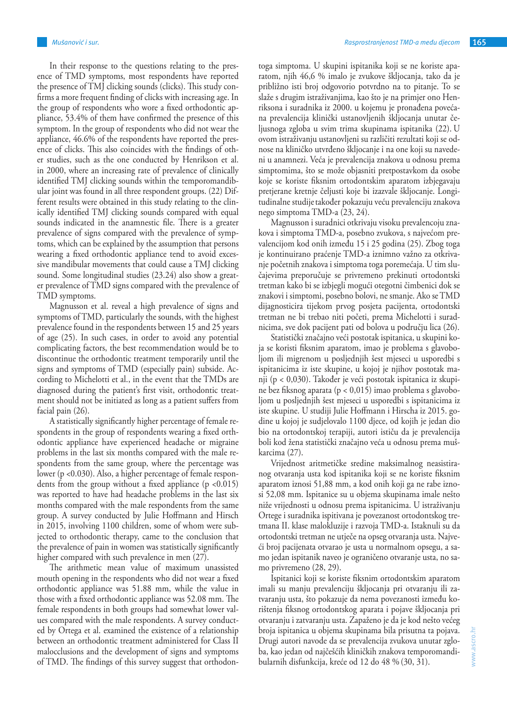In their response to the questions relating to the presence of TMD symptoms, most respondents have reported the presence of TMJ clicking sounds (clicks). This study confirms a more frequent finding of clicks with increasing age. In the group of respondents who wore a fixed orthodontic appliance, 53.4% of them have confirmed the presence of this symptom. In the group of respondents who did not wear the appliance, 46.6% of the respondents have reported the presence of clicks. This also coincides with the findings of other studies, such as the one conducted by Henrikson et al. in 2000, where an increasing rate of prevalence of clinically identified TMJ clicking sounds within the temporomandibular joint was found in all three respondent groups. (22) Different results were obtained in this study relating to the clinically identified TMJ clicking sounds compared with equal sounds indicated in the anamnestic file. There is a greater prevalence of signs compared with the prevalence of symptoms, which can be explained by the assumption that persons wearing a fixed orthodontic appliance tend to avoid excessive mandibular movements that could cause a TMJ clicking sound. Some longitudinal studies (23.24) also show a greater prevalence of TMD signs compared with the prevalence of TMD symptoms.

Magnusson et al. reveal a high prevalence of signs and symptoms of TMD, particularly the sounds, with the highest prevalence found in the respondents between 15 and 25 years of age (25). In such cases, in order to avoid any potential complicating factors, the best recommendation would be to discontinue the orthodontic treatment temporarily until the signs and symptoms of TMD (especially pain) subside. According to Michelotti et al., in the event that the TMDs are diagnosed during the patient's first visit, orthodontic treatment should not be initiated as long as a patient suffers from facial pain (26).

A statistically significantly higher percentage of female respondents in the group of respondents wearing a fixed orthodontic appliance have experienced headache or migraine problems in the last six months compared with the male respondents from the same group, where the percentage was lower (p <0.030). Also, a higher percentage of female respondents from the group without a fixed appliance  $(p \le 0.015)$ was reported to have had headache problems in the last six months compared with the male respondents from the same group. A survey conducted by Julie Hoffmann and Hirsch in 2015, involving 1100 children, some of whom were subjected to orthodontic therapy, came to the conclusion that the prevalence of pain in women was statistically significantly higher compared with such prevalence in men (27).

The arithmetic mean value of maximum unassisted mouth opening in the respondents who did not wear a fixed orthodontic appliance was 51.88 mm, while the value in those with a fixed orthodontic appliance was 52.08 mm. The female respondents in both groups had somewhat lower values compared with the male respondents. A survey conducted by Ortega et al. examined the existence of a relationship between an orthodontic treatment administered for Class II malocclusions and the development of signs and symptoms of TMD. The findings of this survey suggest that orthodontoga simptoma. U skupini ispitanika koji se ne koriste aparatom, njih 46,6 % imalo je zvukove škljocanja, tako da je približno isti broj odgovorio potvrdno na to pitanje. To se slaže s drugim istraživanjima, kao što je na primjer ono Henriksona i suradnika iz 2000. u kojemu je pronađena povećana prevalencija klinički ustanovljenih škljocanja unutar čeljusnoga zgloba u svim trima skupinama ispitanika (22). U ovom istraživanju ustanovljeni su različiti rezultati koji se odnose na kliničko utvrđeno škljocanje i na one koji su navedeni u anamnezi. Veća je prevalencija znakova u odnosu prema simptomima, što se može objasniti pretpostavkom da osobe koje se koriste fiksnim ortodontskim aparatom izbjegavaju pretjerane kretnje čeljusti koje bi izazvale škljocanje. Longitudinalne studijetakođer pokazuju veću prevalenciju znakova nego simptoma TMD-a (23, 24).

Magnusson i suradnici otkrivaju visoku prevalencoju znakova i simptoma TMD-a, posebno zvukova, s najvećom prevalencijom kod onih između 15 i 25 godina (25). Zbog toga je kontinuirano praćenje TMD-a iznimno važno za otkrivanje početnih znakova i simptoma toga poremećaja. U tim slučajevima preporučuje se privremeno prekinuti ortodontski tretman kako bi se izbjegli mogući otegotni čimbenici dok se znakovi i simptomi, posebno bolovi, ne smanje. Ako se TMD dijagnosticira tijekom prvog posjeta pacijenta, ortodontski tretman ne bi trebao niti početi, prema Michelotti i suradnicima, sve dok pacijent pati od bolova u području lica (26).

Statistički značajno veći postotak ispitanica, u skupini koja se koristi fiksnim aparatom, imao je problema s glavoboljom ili migrenom u posljednjih šest mjeseci u usporedbi s ispitanicima iz iste skupine, u kojoj je njihov postotak manji (p < 0,030). Također je veći postotak ispitanica iz skupine bez fiksnog aparata (p < 0,015) imao problema s glavoboljom u posljednjih šest mjeseci u usporedbi s ispitanicima iz iste skupine. U studiji Julie Hoffmann i Hirscha iz 2015. godine u kojoj je sudjelovalo 1100 djece, od kojih je jedan dio bio na ortodontskoj terapiji, autori ističu da je prevalencija boli kod žena statistički značajno veća u odnosu prema muškarcima (27).

Vrijednost aritmetičke sredine maksimalnog neasistiranog otvaranja usta kod ispitanika koji se ne koriste fiksnim aparatom iznosi 51,88 mm, a kod onih koji ga ne rabe iznosi 52,08 mm. Ispitanice su u objema skupinama imale nešto niže vrijednosti u odnosu prema ispitanicima. U istraživanju Ortege i suradnika ispitivana je povezanost ortodontskog tretmana II. klase malokluzije i razvoja TMD-a. Istaknuli su da ortodontski tretman ne utječe na opseg otvaranja usta. Najveći broj pacijenata otvarao je usta u normalnom opsegu, a samo jedan ispitanik naveo je ograničeno otvaranje usta, no samo privremeno (28, 29).

Ispitanici koji se koriste fiksnim ortodontskim aparatom imali su manju prevalenciju škljocanja pri otvaranju ili zatvaranju usta, što pokazuje da nema povezanosti između korištenja fiksnog ortodontskog aparata i pojave škljocanja pri otvaranju i zatvaranju usta. Zapaženo je da je kod nešto većeg broja ispitanica u objema skupinama bila prisutna ta pojava. Drugi autori navode da se prevalencija zvukova unutar zgloba, kao jedan od najčešćih kliničkih znakova temporomandibularnih disfunkcija, kreće od 12 do 48 % (30, 31).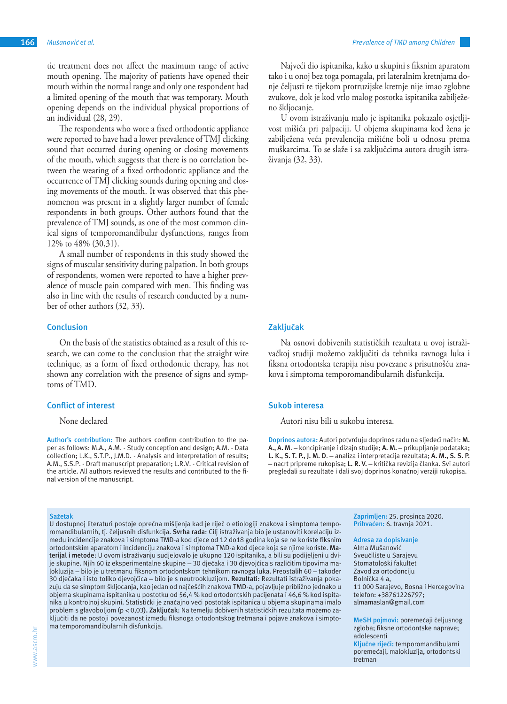tic treatment does not affect the maximum range of active mouth opening. The majority of patients have opened their mouth within the normal range and only one respondent had a limited opening of the mouth that was temporary. Mouth opening depends on the individual physical proportions of an individual (28, 29).

The respondents who wore a fixed orthodontic appliance were reported to have had a lower prevalence of TMJ clicking sound that occurred during opening or closing movements of the mouth, which suggests that there is no correlation between the wearing of a fixed orthodontic appliance and the occurrence of TMJ clicking sounds during opening and closing movements of the mouth. It was observed that this phenomenon was present in a slightly larger number of female respondents in both groups. Other authors found that the prevalence of TMJ sounds, as one of the most common clinical signs of temporomandibular dysfunctions, ranges from 12% to 48% (30,31).

A small number of respondents in this study showed the signs of muscular sensitivity during palpation. In both groups of respondents, women were reported to have a higher prevalence of muscle pain compared with men. This finding was also in line with the results of research conducted by a number of other authors (32, 33).

# **Conclusion**

On the basis of the statistics obtained as a result of this research, we can come to the conclusion that the straight wire technique, as a form of fixed orthodontic therapy, has not shown any correlation with the presence of signs and symptoms of TMD.

#### **Conflict of interest**

### None declared

**Author's contribution:** The authors confirm contribution to the paper as follows: M.A., A.M. - Study conception and design; A.M. - Data collection; L.K., S.T.P., J.M.D. - Analysis and interpretation of results; A.M., S.S.P. - Draft manuscript preparation; L.R.V. - Critical revision of the article. All authors reviewed the results and contributed to the final version of the manuscript.

#### **Sažetak**

U dostupnoj literaturi postoje oprečna mišljenja kad je riječ o etiologiji znakova i simptoma temporomandibularnih, tj. čeljusnih disfunkcija. **Svrha rada**: Cilj istraživanja bio je ustanoviti korelaciju između incidencije znakova i simptoma TMD-a kod djece od 12 do18 godina koja se ne koriste fiksnim ortodontskim aparatom i incidenciju znakova i simptoma TMD-a kod djece koja se njime koriste. **Materijal i metode**: U ovom istraživanju sudjelovalo je ukupno 120 ispitanika, a bili su podijeljeni u dvije skupine. Njih 60 iz eksperimentalne skupine – 30 dječaka i 30 djevojčica s različitim tipovima malokluzija – bilo je u tretmanu fiksnom ortodontskom tehnikom ravnoga luka. Preostalih 60 – također 30 dječaka i isto toliko djevojčica – bilo je s neutrookluzijom. **Rezultati**: Rezultati istraživanja pokazuju da se simptom škljocanja, kao jedan od najčešćih znakova TMD-a, pojavljuje približno jednako u objema skupinama ispitanika u postotku od 56,4 % kod ortodontskih pacijenata i 46,6 % kod ispitanika u kontrolnoj skupini. Statistički je značajno veći postotak ispitanica u objema skupinama imalo problem s glavoboljom (p < 0,03**). Zaključak**: Na temelju dobivenih statističkih rezultata možemo zaključiti da ne postoji povezanost između fiksnoga ortodontskog tretmana i pojave znakova i simptoma temporomandibularnih disfunkcija.

Najveći dio ispitanika, kako u skupini s fiksnim aparatom tako i u onoj bez toga pomagala, pri lateralnim kretnjama donje čeljusti te tijekom protruzijske kretnje nije imao zglobne zvukove, dok je kod vrlo malog postotka ispitanika zabilježeno škljocanje.

U ovom istraživanju malo je ispitanika pokazalo osjetljivost mišića pri palpaciji. U objema skupinama kod žena je zabilježena veća prevalencija mišićne boli u odnosu prema muškarcima. To se slaže i sa zaključcima autora drugih istraživanja (32, 33).

## **Zaključak**

Na osnovi dobivenih statističkih rezultata u ovoj istraživačkoj studiji možemo zaključiti da tehnika ravnoga luka i fiksna ortodontska terapija nisu povezane s prisutnošću znakova i simptoma temporomandibularnih disfunkcija.

#### **Sukob interesa**

Autori nisu bili u sukobu interesa.

**Doprinos autora:** Autori potvrđuju doprinos radu na sljedeći način: **M. A., A. M**. – koncipiranje i dizajn studije; **A. M.** – prikupljanje podataka; **L. K., S. T. P., J. M. D**. – analiza i interpretacija rezultata; **A. M., S. S. P.**  – nacrt pripreme rukopisa; **L. R. V.** – kritička revizija članka. Svi autori pregledali su rezultate i dali svoj doprinos konačnoj verziji rukopisa.

> **Zaprimljen:** 25. prosinca 2020. **Prihvaćen:** 6. travnja 2021.

**Adresa za dopisivanje** Alma Mušanović Sveučilište u Sarajevu Stomatološki fakultet Zavod za ortodonciju Bolnička 4 a, 11 000 Sarajevo, Bosna i Hercegovina telefon: +38761226797; almamaslan@gmail.com

**MeSH pojmovi:** poremećaji čeljusnog zgloba; fiksne ortodontske naprave; adolescenti

**Ključne riječi:** temporomandibularni poremećaji, malokluzija, ortodontski tretman